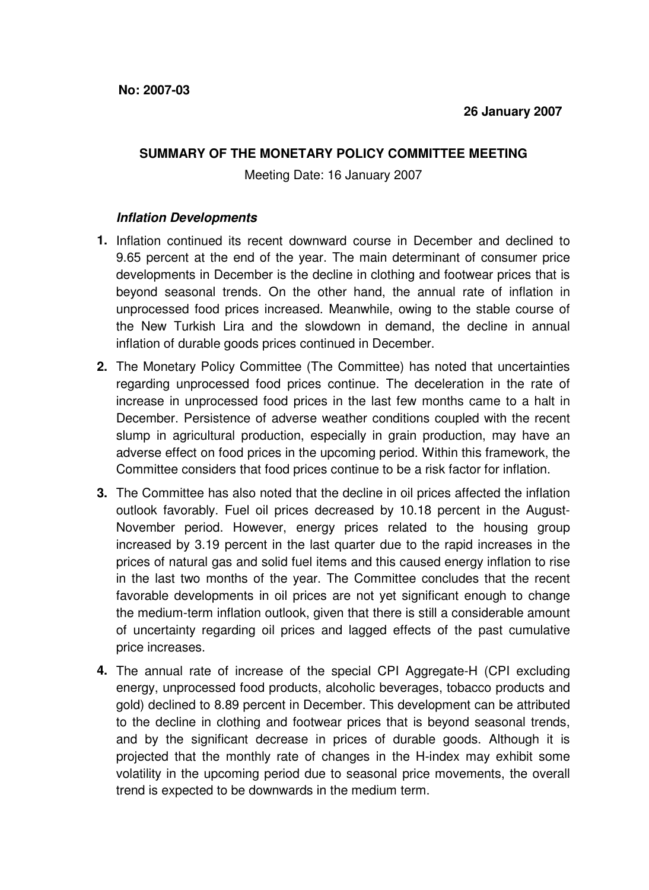## **SUMMARY OF THE MONETARY POLICY COMMITTEE MEETING**

Meeting Date: 16 January 2007

## **Inflation Developments**

- **1.** Inflation continued its recent downward course in December and declined to 9.65 percent at the end of the year. The main determinant of consumer price developments in December is the decline in clothing and footwear prices that is beyond seasonal trends. On the other hand, the annual rate of inflation in unprocessed food prices increased. Meanwhile, owing to the stable course of the New Turkish Lira and the slowdown in demand, the decline in annual inflation of durable goods prices continued in December.
- **2.** The Monetary Policy Committee (The Committee) has noted that uncertainties regarding unprocessed food prices continue. The deceleration in the rate of increase in unprocessed food prices in the last few months came to a halt in December. Persistence of adverse weather conditions coupled with the recent slump in agricultural production, especially in grain production, may have an adverse effect on food prices in the upcoming period. Within this framework, the Committee considers that food prices continue to be a risk factor for inflation.
- **3.** The Committee has also noted that the decline in oil prices affected the inflation outlook favorably. Fuel oil prices decreased by 10.18 percent in the August-November period. However, energy prices related to the housing group increased by 3.19 percent in the last quarter due to the rapid increases in the prices of natural gas and solid fuel items and this caused energy inflation to rise in the last two months of the year. The Committee concludes that the recent favorable developments in oil prices are not yet significant enough to change the medium-term inflation outlook, given that there is still a considerable amount of uncertainty regarding oil prices and lagged effects of the past cumulative price increases.
- **4.** The annual rate of increase of the special CPI Aggregate-H (CPI excluding energy, unprocessed food products, alcoholic beverages, tobacco products and gold) declined to 8.89 percent in December. This development can be attributed to the decline in clothing and footwear prices that is beyond seasonal trends, and by the significant decrease in prices of durable goods. Although it is projected that the monthly rate of changes in the H-index may exhibit some volatility in the upcoming period due to seasonal price movements, the overall trend is expected to be downwards in the medium term.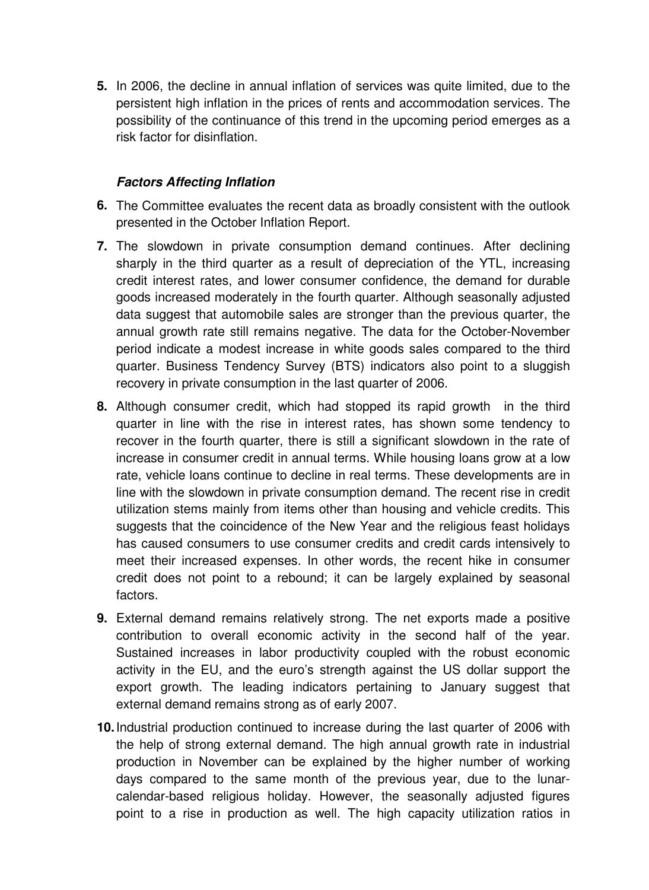**5.** In 2006, the decline in annual inflation of services was quite limited, due to the persistent high inflation in the prices of rents and accommodation services. The possibility of the continuance of this trend in the upcoming period emerges as a risk factor for disinflation.

## **Factors Affecting Inflation**

- **6.** The Committee evaluates the recent data as broadly consistent with the outlook presented in the October Inflation Report.
- **7.** The slowdown in private consumption demand continues. After declining sharply in the third quarter as a result of depreciation of the YTL, increasing credit interest rates, and lower consumer confidence, the demand for durable goods increased moderately in the fourth quarter. Although seasonally adjusted data suggest that automobile sales are stronger than the previous quarter, the annual growth rate still remains negative. The data for the October-November period indicate a modest increase in white goods sales compared to the third quarter. Business Tendency Survey (BTS) indicators also point to a sluggish recovery in private consumption in the last quarter of 2006.
- **8.** Although consumer credit, which had stopped its rapid growth in the third quarter in line with the rise in interest rates, has shown some tendency to recover in the fourth quarter, there is still a significant slowdown in the rate of increase in consumer credit in annual terms. While housing loans grow at a low rate, vehicle loans continue to decline in real terms. These developments are in line with the slowdown in private consumption demand. The recent rise in credit utilization stems mainly from items other than housing and vehicle credits. This suggests that the coincidence of the New Year and the religious feast holidays has caused consumers to use consumer credits and credit cards intensively to meet their increased expenses. In other words, the recent hike in consumer credit does not point to a rebound; it can be largely explained by seasonal factors.
- **9.** External demand remains relatively strong. The net exports made a positive contribution to overall economic activity in the second half of the year. Sustained increases in labor productivity coupled with the robust economic activity in the EU, and the euro's strength against the US dollar support the export growth. The leading indicators pertaining to January suggest that external demand remains strong as of early 2007.
- **10.** Industrial production continued to increase during the last quarter of 2006 with the help of strong external demand. The high annual growth rate in industrial production in November can be explained by the higher number of working days compared to the same month of the previous year, due to the lunarcalendar-based religious holiday. However, the seasonally adjusted figures point to a rise in production as well. The high capacity utilization ratios in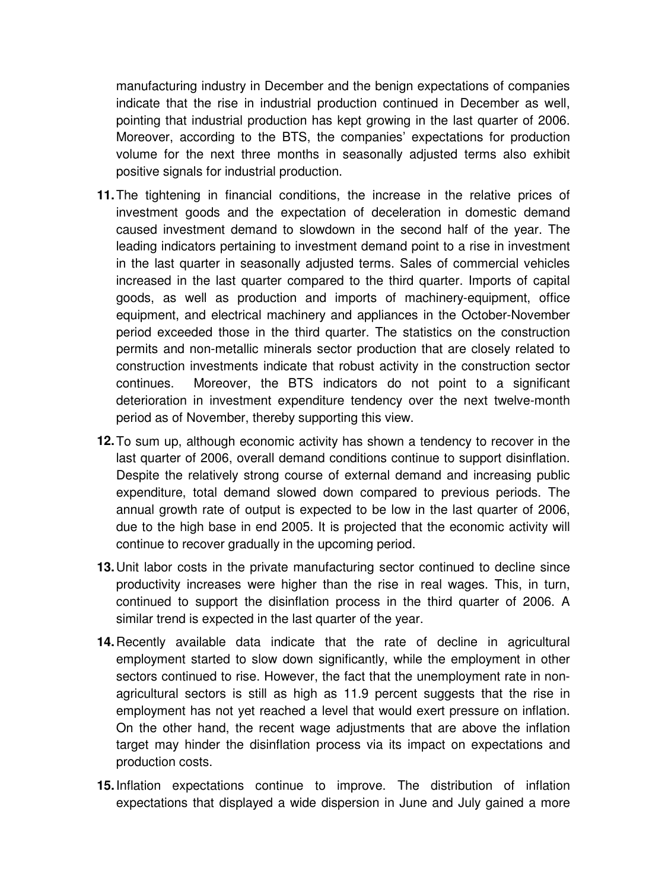manufacturing industry in December and the benign expectations of companies indicate that the rise in industrial production continued in December as well, pointing that industrial production has kept growing in the last quarter of 2006. Moreover, according to the BTS, the companies' expectations for production volume for the next three months in seasonally adjusted terms also exhibit positive signals for industrial production.

- **11.** The tightening in financial conditions, the increase in the relative prices of investment goods and the expectation of deceleration in domestic demand caused investment demand to slowdown in the second half of the year. The leading indicators pertaining to investment demand point to a rise in investment in the last quarter in seasonally adjusted terms. Sales of commercial vehicles increased in the last quarter compared to the third quarter. Imports of capital goods, as well as production and imports of machinery-equipment, office equipment, and electrical machinery and appliances in the October-November period exceeded those in the third quarter. The statistics on the construction permits and non-metallic minerals sector production that are closely related to construction investments indicate that robust activity in the construction sector continues. Moreover, the BTS indicators do not point to a significant deterioration in investment expenditure tendency over the next twelve-month period as of November, thereby supporting this view.
- **12.** To sum up, although economic activity has shown a tendency to recover in the last quarter of 2006, overall demand conditions continue to support disinflation. Despite the relatively strong course of external demand and increasing public expenditure, total demand slowed down compared to previous periods. The annual growth rate of output is expected to be low in the last quarter of 2006, due to the high base in end 2005. It is projected that the economic activity will continue to recover gradually in the upcoming period.
- **13.** Unit labor costs in the private manufacturing sector continued to decline since productivity increases were higher than the rise in real wages. This, in turn, continued to support the disinflation process in the third quarter of 2006. A similar trend is expected in the last quarter of the year.
- **14.** Recently available data indicate that the rate of decline in agricultural employment started to slow down significantly, while the employment in other sectors continued to rise. However, the fact that the unemployment rate in nonagricultural sectors is still as high as 11.9 percent suggests that the rise in employment has not yet reached a level that would exert pressure on inflation. On the other hand, the recent wage adjustments that are above the inflation target may hinder the disinflation process via its impact on expectations and production costs.
- **15.** Inflation expectations continue to improve. The distribution of inflation expectations that displayed a wide dispersion in June and July gained a more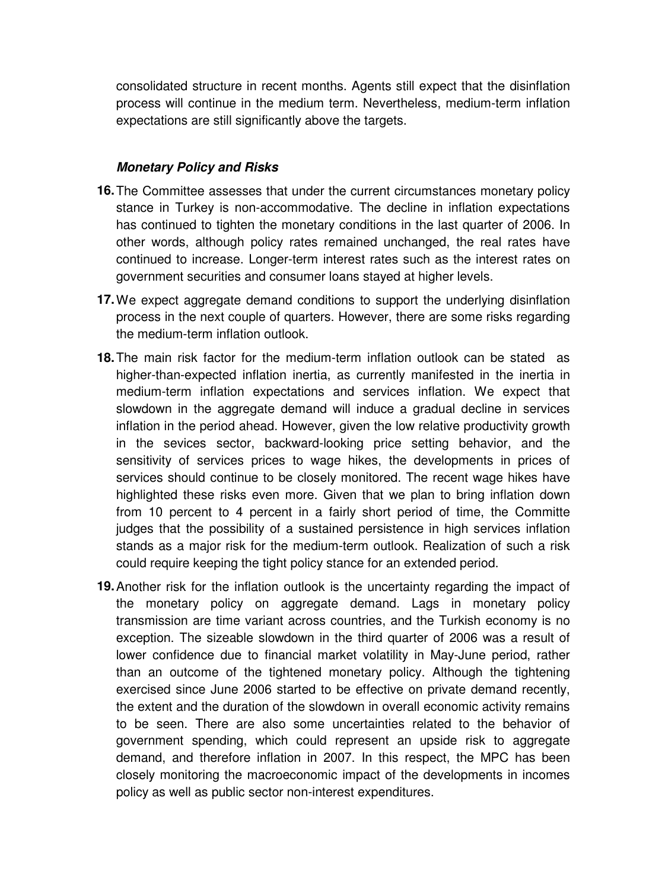consolidated structure in recent months. Agents still expect that the disinflation process will continue in the medium term. Nevertheless, medium-term inflation expectations are still significantly above the targets.

## **Monetary Policy and Risks**

- **16.** The Committee assesses that under the current circumstances monetary policy stance in Turkey is non-accommodative. The decline in inflation expectations has continued to tighten the monetary conditions in the last quarter of 2006. In other words, although policy rates remained unchanged, the real rates have continued to increase. Longer-term interest rates such as the interest rates on government securities and consumer loans stayed at higher levels.
- **17.** We expect aggregate demand conditions to support the underlying disinflation process in the next couple of quarters. However, there are some risks regarding the medium-term inflation outlook.
- **18.** The main risk factor for the medium-term inflation outlook can be stated as higher-than-expected inflation inertia, as currently manifested in the inertia in medium-term inflation expectations and services inflation. We expect that slowdown in the aggregate demand will induce a gradual decline in services inflation in the period ahead. However, given the low relative productivity growth in the sevices sector, backward-looking price setting behavior, and the sensitivity of services prices to wage hikes, the developments in prices of services should continue to be closely monitored. The recent wage hikes have highlighted these risks even more. Given that we plan to bring inflation down from 10 percent to 4 percent in a fairly short period of time, the Committe judges that the possibility of a sustained persistence in high services inflation stands as a major risk for the medium-term outlook. Realization of such a risk could require keeping the tight policy stance for an extended period.
- **19.** Another risk for the inflation outlook is the uncertainty regarding the impact of the monetary policy on aggregate demand. Lags in monetary policy transmission are time variant across countries, and the Turkish economy is no exception. The sizeable slowdown in the third quarter of 2006 was a result of lower confidence due to financial market volatility in May-June period, rather than an outcome of the tightened monetary policy. Although the tightening exercised since June 2006 started to be effective on private demand recently, the extent and the duration of the slowdown in overall economic activity remains to be seen. There are also some uncertainties related to the behavior of government spending, which could represent an upside risk to aggregate demand, and therefore inflation in 2007. In this respect, the MPC has been closely monitoring the macroeconomic impact of the developments in incomes policy as well as public sector non-interest expenditures.